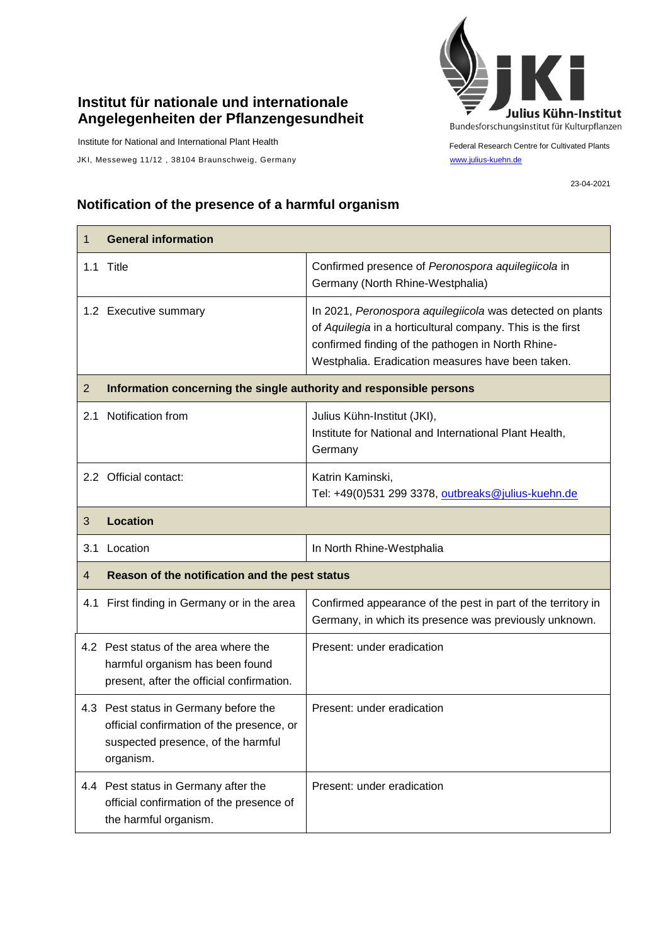## **Institut für nationale und internationale Angelegenheiten der Pflanzengesundheit**

Institute for National and International Plant Health

JKI, Messeweg 11/12, 38104 Braunschweig, Germany [www.julius-kuehn.de](http://www.julius-kuehn.de/)



Federal Research Centre for Cultivated Plants

23-04-2021

## **Notification of the presence of a harmful organism**

| 1              | <b>General information</b>                                                                                                            |                                                                                                                                                                                                                                   |  |
|----------------|---------------------------------------------------------------------------------------------------------------------------------------|-----------------------------------------------------------------------------------------------------------------------------------------------------------------------------------------------------------------------------------|--|
|                | 1.1 Title                                                                                                                             | Confirmed presence of Peronospora aquilegiicola in<br>Germany (North Rhine-Westphalia)                                                                                                                                            |  |
|                | 1.2 Executive summary                                                                                                                 | In 2021, Peronospora aquilegiicola was detected on plants<br>of Aquilegia in a horticultural company. This is the first<br>confirmed finding of the pathogen in North Rhine-<br>Westphalia. Eradication measures have been taken. |  |
| $\overline{2}$ | Information concerning the single authority and responsible persons                                                                   |                                                                                                                                                                                                                                   |  |
|                | 2.1 Notification from                                                                                                                 | Julius Kühn-Institut (JKI),<br>Institute for National and International Plant Health,<br>Germany                                                                                                                                  |  |
|                | 2.2 Official contact:                                                                                                                 | Katrin Kaminski,<br>Tel: +49(0)531 299 3378, outbreaks@julius-kuehn.de                                                                                                                                                            |  |
| 3              | <b>Location</b>                                                                                                                       |                                                                                                                                                                                                                                   |  |
| 3.1            | Location                                                                                                                              | In North Rhine-Westphalia                                                                                                                                                                                                         |  |
| 4              | Reason of the notification and the pest status                                                                                        |                                                                                                                                                                                                                                   |  |
|                | 4.1 First finding in Germany or in the area                                                                                           | Confirmed appearance of the pest in part of the territory in<br>Germany, in which its presence was previously unknown.                                                                                                            |  |
|                | 4.2 Pest status of the area where the<br>harmful organism has been found<br>present, after the official confirmation.                 | Present: under eradication                                                                                                                                                                                                        |  |
|                | 4.3 Pest status in Germany before the<br>official confirmation of the presence, or<br>suspected presence, of the harmful<br>organism. | Present: under eradication                                                                                                                                                                                                        |  |
|                | 4.4 Pest status in Germany after the<br>official confirmation of the presence of<br>the harmful organism.                             | Present: under eradication                                                                                                                                                                                                        |  |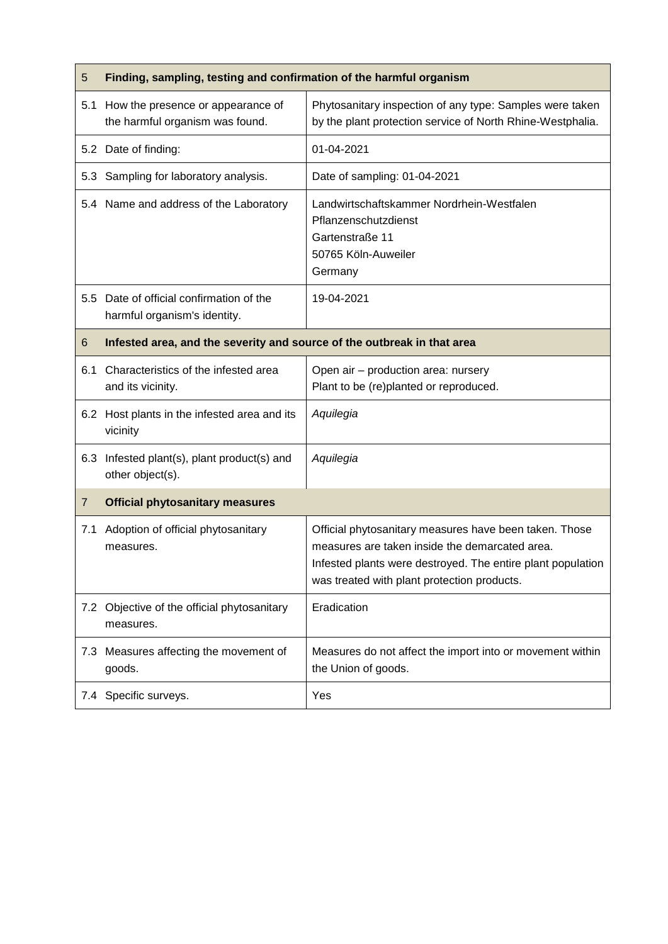| 5   | Finding, sampling, testing and confirmation of the harmful organism      |                                                                                                                                                                                                                        |  |
|-----|--------------------------------------------------------------------------|------------------------------------------------------------------------------------------------------------------------------------------------------------------------------------------------------------------------|--|
|     | 5.1 How the presence or appearance of<br>the harmful organism was found. | Phytosanitary inspection of any type: Samples were taken<br>by the plant protection service of North Rhine-Westphalia.                                                                                                 |  |
|     | 5.2 Date of finding:                                                     | 01-04-2021                                                                                                                                                                                                             |  |
| 5.3 | Sampling for laboratory analysis.                                        | Date of sampling: 01-04-2021                                                                                                                                                                                           |  |
|     | 5.4 Name and address of the Laboratory                                   | Landwirtschaftskammer Nordrhein-Westfalen<br>Pflanzenschutzdienst<br>Gartenstraße 11<br>50765 Köln-Auweiler<br>Germany                                                                                                 |  |
|     | 5.5 Date of official confirmation of the<br>harmful organism's identity. | 19-04-2021                                                                                                                                                                                                             |  |
| 6   | Infested area, and the severity and source of the outbreak in that area  |                                                                                                                                                                                                                        |  |
| 6.1 | Characteristics of the infested area<br>and its vicinity.                | Open air - production area: nursery<br>Plant to be (re)planted or reproduced.                                                                                                                                          |  |
|     | 6.2 Host plants in the infested area and its<br>vicinity                 | Aquilegia                                                                                                                                                                                                              |  |
|     | 6.3 Infested plant(s), plant product(s) and<br>other object(s).          | Aquilegia                                                                                                                                                                                                              |  |
| 7   | <b>Official phytosanitary measures</b>                                   |                                                                                                                                                                                                                        |  |
| 7.1 | Adoption of official phytosanitary<br>measures.                          | Official phytosanitary measures have been taken. Those<br>measures are taken inside the demarcated area.<br>Infested plants were destroyed. The entire plant population<br>was treated with plant protection products. |  |
| 7.2 | Objective of the official phytosanitary<br>measures.                     | Eradication                                                                                                                                                                                                            |  |
|     | 7.3 Measures affecting the movement of<br>goods.                         | Measures do not affect the import into or movement within<br>the Union of goods.                                                                                                                                       |  |
|     | 7.4 Specific surveys.                                                    | Yes                                                                                                                                                                                                                    |  |